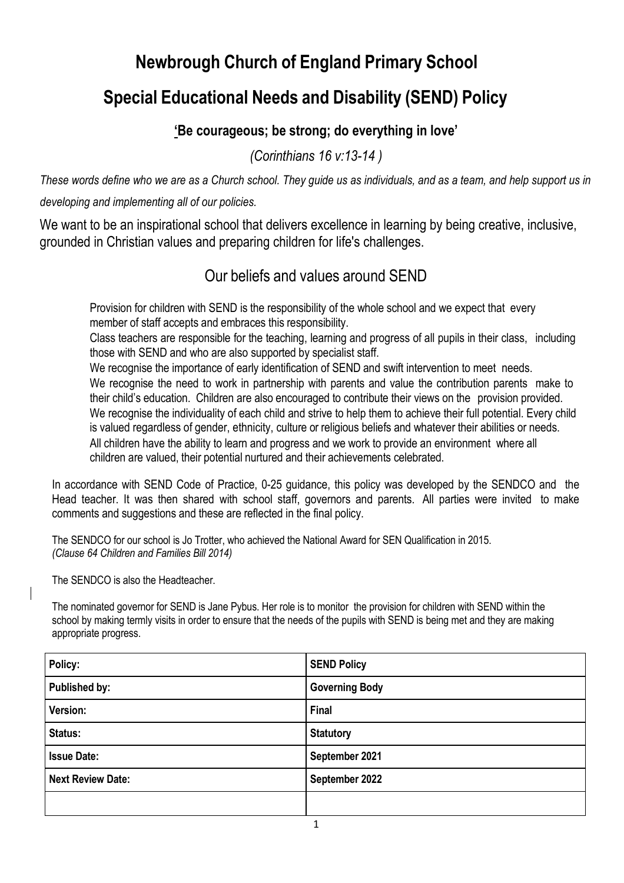# **Newbrough Church of England Primary School**

# **Special Educational Needs and Disability (SEND) Policy**

## **'Be courageous; be strong; do everything in love'**

*(Corinthians 16 v:13-14 )*

These words define who we are as a Church school. They guide us as individuals, and as a team, and help support us in *developing and implementing all of our policies.*

We want to be an inspirational school that delivers excellence in learning by being creative, inclusive, grounded in Christian values and preparing children for life's challenges.

## Our beliefs and values around SEND

Provision for children with SEND is the responsibility of the whole school and we expect that every member of staff accepts and embraces this responsibility.

Class teachers are responsible for the teaching, learning and progress of all pupils in their class, including those with SEND and who are also supported by specialist staff.

We recognise the importance of early identification of SEND and swift intervention to meet needs. We recognise the need to work in partnership with parents and value the contribution parents make to their child's education. Children are also encouraged to contribute their views on the provision provided. We recognise the individuality of each child and strive to help them to achieve their full potential. Every child is valued regardless of gender, ethnicity, culture or religious beliefs and whatever their abilities or needs. All children have the ability to learn and progress and we work to provide an environment where all children are valued, their potential nurtured and their achievements celebrated.

In accordance with SEND Code of Practice, 0-25 guidance, this policy was developed by the SENDCO and the Head teacher. It was then shared with school staff, governors and parents. All parties were invited to make comments and suggestions and these are reflected in the final policy.

The SENDCO for our school is Jo Trotter, who achieved the National Award for SEN Qualification in 2015. *(Clause 64 Children and Families Bill 2014)*

The SENDCO is also the Headteacher.

The nominated governor for SEND is Jane Pybus. Her role is to monitor the provision for children with SEND within the school by making termly visits in order to ensure that the needs of the pupils with SEND is being met and they are making appropriate progress.

| Policy:                  | <b>SEND Policy</b>    |
|--------------------------|-----------------------|
| Published by:            | <b>Governing Body</b> |
| Version:                 | <b>Final</b>          |
| Status:                  | <b>Statutory</b>      |
| <b>Issue Date:</b>       | September 2021        |
| <b>Next Review Date:</b> | September 2022        |
|                          |                       |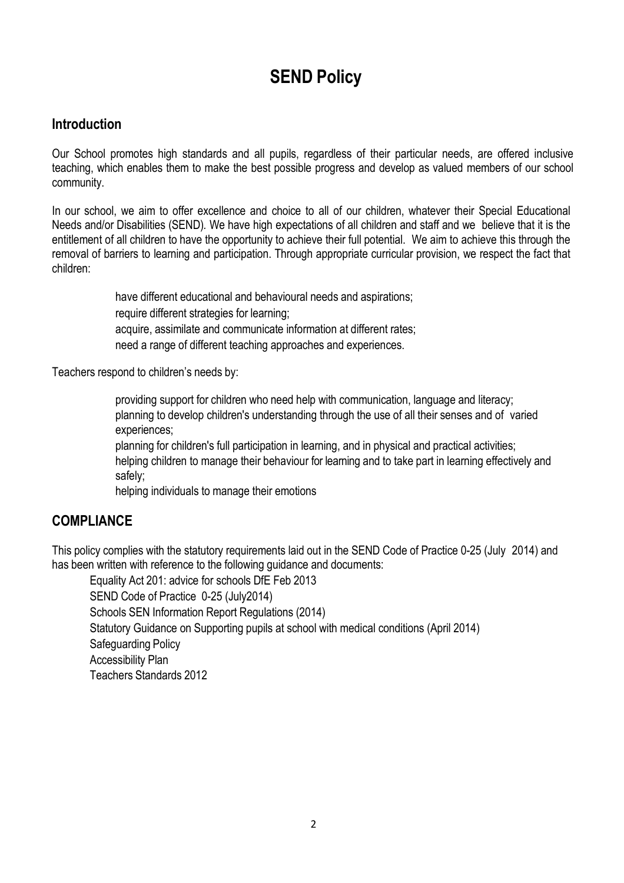## **SEND Policy**

#### **Introduction**

Our School promotes high standards and all pupils, regardless of their particular needs, are offered inclusive teaching, which enables them to make the best possible progress and develop as valued members of our school community.

In our school, we aim to offer excellence and choice to all of our children, whatever their Special Educational Needs and/or Disabilities (SEND)*.* We have high expectations of all children and staff and we believe that it is the entitlement of all children to have the opportunity to achieve their full potential. We aim to achieve this through the removal of barriers to learning and participation. Through appropriate curricular provision, we respect the fact that children:

> have different educational and behavioural needs and aspirations: require different strategies for learning; acquire, assimilate and communicate information at different rates; need a range of different teaching approaches and experiences.

Teachers respond to children's needs by:

providing support for children who need help with communication, language and literacy; planning to develop children's understanding through the use of all their senses and of varied experiences;

planning for children's full participation in learning, and in physical and practical activities; helping children to manage their behaviour for learning and to take part in learning effectively and safely;

helping individuals to manage their emotions

#### **COMPLIANCE**

This policy complies with the statutory requirements laid out in the SEND Code of Practice 0-25 (July 2014) and has been written with reference to the following guidance and documents:

Equality Act 201: advice for schools DfE Feb 2013 SEND Code of Practice 0-25 (July2014) Schools SEN Information Report Regulations (2014) Statutory Guidance on Supporting pupils at school with medical conditions (April 2014) Safeguarding Policy Accessibility Plan Teachers Standards 2012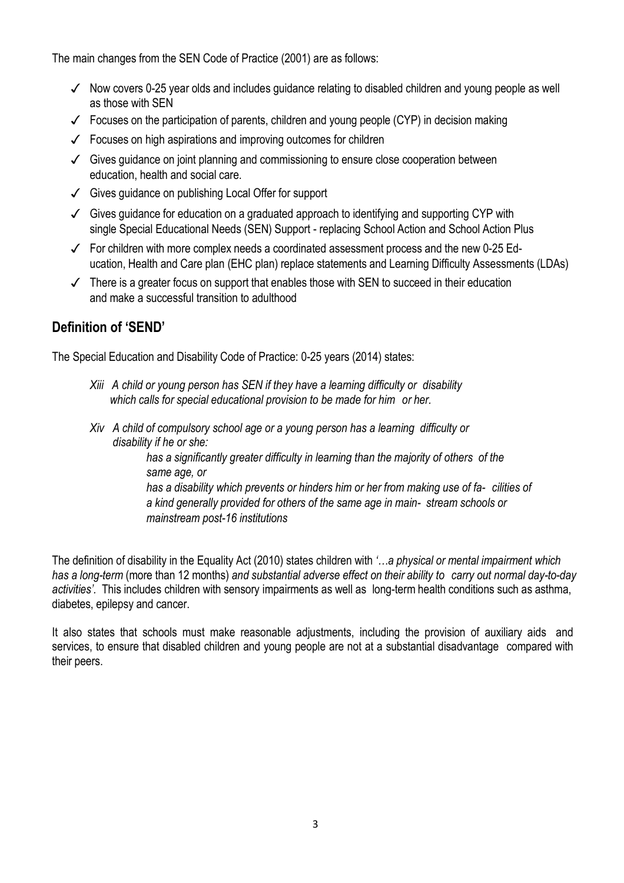The main changes from the SEN Code of Practice (2001) are as follows:

- ✓ Now covers 0-25 year olds and includes guidance relating to disabled children and young people as well as those with SEN
- $\checkmark$  Focuses on the participation of parents, children and young people (CYP) in decision making
- ✓ Focuses on high aspirations and improving outcomes for children
- ✓ Gives guidance on joint planning and commissioning to ensure close cooperation between education, health and social care.
- ✓ Gives guidance on publishing Local Offer for support
- ✓ Gives guidance for education on a graduated approach to identifying and supporting CYP with single Special Educational Needs (SEN) Support - replacing School Action and School Action Plus
- ✓ For children with more complex needs a coordinated assessment process and the new 0-25 Education, Health and Care plan (EHC plan) replace statements and Learning Difficulty Assessments (LDAs)
- $\checkmark$  There is a greater focus on support that enables those with SEN to succeed in their education and make a successful transition to adulthood

### **Definition of 'SEND'**

The Special Education and Disability Code of Practice: 0-25 years (2014) states:

- *Xiii A child or young person has SEN if they have a learning difficulty or disability which calls for special educational provision to be made for him or her.*
- *Xiv A child of compulsory school age or a young person has a learning difficulty or disability if he or she:*

*has a significantly greater difficulty in learning than the majority of others of the same age, or has a disability which prevents or hinders him or her from making use of fa- cilities of a kind generally provided for others of the same age in main- stream schools or mainstream post-16 institutions*

The definition of disability in the Equality Act (2010) states children with *'…a physical or mental impairment which has a long-term* (more than 12 months) *and substantial adverse effect on their ability to carry out normal day-to-day activities'.* This includes children with sensory impairments as well as long-term health conditions such as asthma, diabetes, epilepsy and cancer.

It also states that schools must make reasonable adjustments, including the provision of auxiliary aids and services, to ensure that disabled children and young people are not at a substantial disadvantage compared with their peers.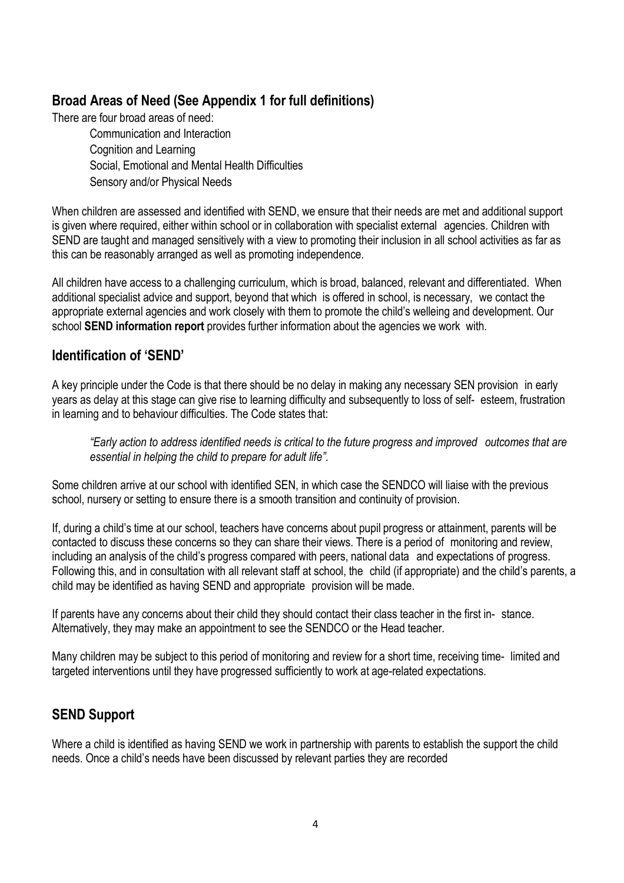### **Broad Areas of Need (See Appendix 1 for full definitions)**

There are four broad areas of need:

Communication and Interaction Cognition and Learning Social, Emotional and Mental Health Difficulties Sensory and/or Physical Needs

When children are assessed and identified with SEND, we ensure that their needs are met and additional support is given where required, either within school or in collaboration with specialist external agencies. Children with SEND are taught and managed sensitively with a view to promoting their inclusion in all school activities as far as this can be reasonably arranged as well as promoting independence.

All children have access to a challenging curriculum, which is broad, balanced, relevant and differentiated. When additional specialist advice and support, beyond that which is offered in school, is necessary, we contact the appropriate external agencies and work closely with them to promote the child's welleing and development. Our school **SEND information report** provides further information about the agencies we work with.

#### **Identification of 'SEND'**

A key principle under the Code is that there should be no delay in making any necessary SEN provision in early years as delay at this stage can give rise to learning difficulty and subsequently to loss of self- esteem, frustration in learning and to behaviour difficulties. The Code states that:

*"Early action to address identified needs is critical to the future progress and improved outcomes that are essential in helping the child to prepare for adult life".*

Some children arrive at our school with identified SEN, in which case the SENDCO will liaise with the previous school, nursery or setting to ensure there is a smooth transition and continuity of provision.

If, during a child's time at our school, teachers have concerns about pupil progress or attainment, parents will be contacted to discuss these concerns so they can share their views. There is a period of monitoring and review, including an analysis of the child's progress compared with peers, national data and expectations of progress. Following this, and in consultation with all relevant staff at school, the child (if appropriate) and the child's parents, a child may be identified as having SEND and appropriate provision will be made.

If parents have any concerns about their child they should contact their class teacher in the first in- stance. Alternatively, they may make an appointment to see the SENDCO or the Head teacher.

Many children may be subject to this period of monitoring and review for a short time, receiving time- limited and targeted interventions until they have progressed sufficiently to work at age-related expectations.

### **SEND Support**

Where a child is identified as having SEND we work in partnership with parents to establish the support the child needs. Once a child's needs have been discussed by relevant parties they are recorded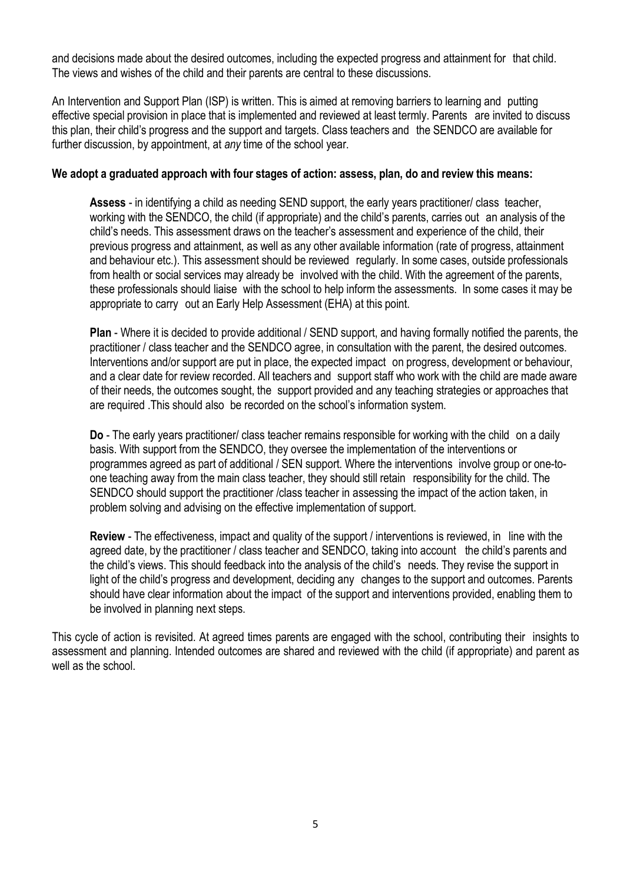and decisions made about the desired outcomes, including the expected progress and attainment for that child. The views and wishes of the child and their parents are central to these discussions.

An Intervention and Support Plan (ISP) is written. This is aimed at removing barriers to learning and putting effective special provision in place that is implemented and reviewed at least termly. Parents are invited to discuss this plan, their child's progress and the support and targets. Class teachers and the SENDCO are available for further discussion, by appointment, at *any* time of the school year.

#### **We adopt a graduated approach with four stages of action: assess, plan, do and review this means:**

**Assess** - in identifying a child as needing SEND support, the early years practitioner/ class teacher, working with the SENDCO, the child (if appropriate) and the child's parents, carries out an analysis of the child's needs. This assessment draws on the teacher's assessment and experience of the child, their previous progress and attainment, as well as any other available information (rate of progress, attainment and behaviour etc.). This assessment should be reviewed regularly. In some cases, outside professionals from health or social services may already be involved with the child. With the agreement of the parents, these professionals should liaise with the school to help inform the assessments. In some cases it may be appropriate to carry out an Early Help Assessment (EHA) at this point.

**Plan** - Where it is decided to provide additional / SEND support, and having formally notified the parents, the practitioner / class teacher and the SENDCO agree, in consultation with the parent, the desired outcomes. Interventions and/or support are put in place, the expected impact on progress, development or behaviour, and a clear date for review recorded. All teachers and support staff who work with the child are made aware of their needs, the outcomes sought, the support provided and any teaching strategies or approaches that are required .This should also be recorded on the school's information system.

**Do** - The early years practitioner/ class teacher remains responsible for working with the child on a daily basis. With support from the SENDCO, they oversee the implementation of the interventions or programmes agreed as part of additional / SEN support. Where the interventions involve group or one-toone teaching away from the main class teacher, they should still retain responsibility for the child. The SENDCO should support the practitioner /class teacher in assessing the impact of the action taken, in problem solving and advising on the effective implementation of support.

**Review** - The effectiveness, impact and quality of the support / interventions is reviewed, in line with the agreed date, by the practitioner / class teacher and SENDCO, taking into account the child's parents and the child's views. This should feedback into the analysis of the child's needs. They revise the support in light of the child's progress and development, deciding any changes to the support and outcomes. Parents should have clear information about the impact of the support and interventions provided, enabling them to be involved in planning next steps.

This cycle of action is revisited. At agreed times parents are engaged with the school, contributing their insights to assessment and planning. Intended outcomes are shared and reviewed with the child (if appropriate) and parent as well as the school.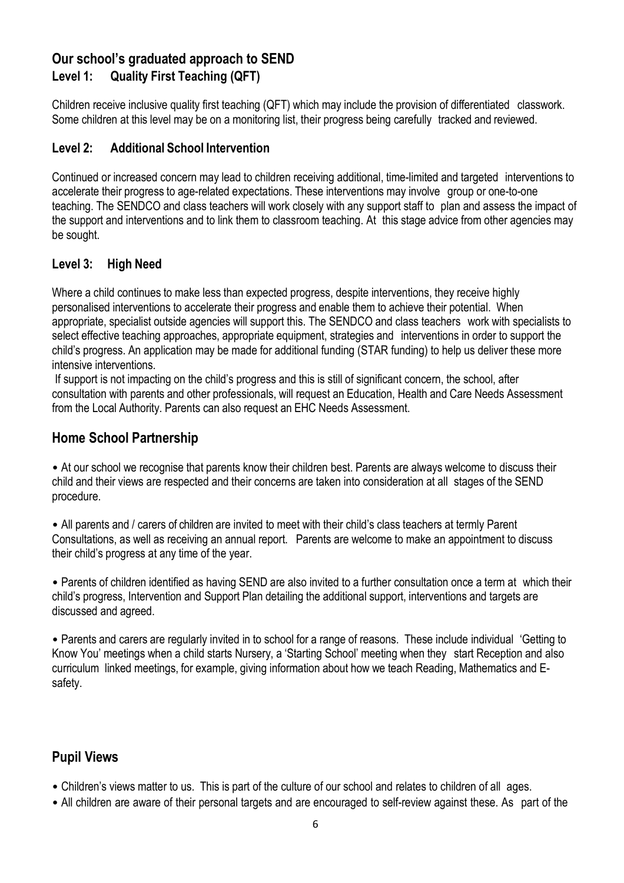### **Our school's graduated approach to SEND Level 1: Quality First Teaching (QFT)**

Children receive inclusive quality first teaching (QFT) which may include the provision of differentiated classwork. Some children at this level may be on a monitoring list, their progress being carefully tracked and reviewed.

#### **Level 2: Additional School Intervention**

Continued or increased concern may lead to children receiving additional, time-limited and targeted interventions to accelerate their progress to age-related expectations. These interventions may involve group or one-to-one teaching. The SENDCO and class teachers will work closely with any support staff to plan and assess the impact of the support and interventions and to link them to classroom teaching. At this stage advice from other agencies may be sought.

#### **Level 3: High Need**

Where a child continues to make less than expected progress, despite interventions, they receive highly personalised interventions to accelerate their progress and enable them to achieve their potential. When appropriate, specialist outside agencies will support this. The SENDCO and class teachers work with specialists to select effective teaching approaches, appropriate equipment, strategies and interventions in order to support the child's progress. An application may be made for additional funding (STAR funding) to help us deliver these more intensive interventions.

If support is not impacting on the child's progress and this is still of significant concern, the school, after consultation with parents and other professionals, will request an Education, Health and Care Needs Assessment from the Local Authority. Parents can also request an EHC Needs Assessment.

#### **Home School Partnership**

• At our school we recognise that parents know their children best. Parents are always welcome to discuss their child and their views are respected and their concerns are taken into consideration at all stages of the SEND procedure.

• All parents and / carers of children are invited to meet with their child's class teachers at termly Parent Consultations, as well as receiving an annual report. Parents are welcome to make an appointment to discuss their child's progress at any time of the year.

• Parents of children identified as having SEND are also invited to a further consultation once a term at which their child's progress, Intervention and Support Plan detailing the additional support, interventions and targets are discussed and agreed.

• Parents and carers are regularly invited in to school for a range of reasons. These include individual 'Getting to Know You' meetings when a child starts Nursery, a 'Starting School' meeting when they start Reception and also curriculum linked meetings, for example, giving information about how we teach Reading, Mathematics and Esafety.

## **Pupil Views**

- Children's views matter to us. This is part of the culture of our school and relates to children of all ages.
- All children are aware of their personal targets and are encouraged to self-review against these. As part of the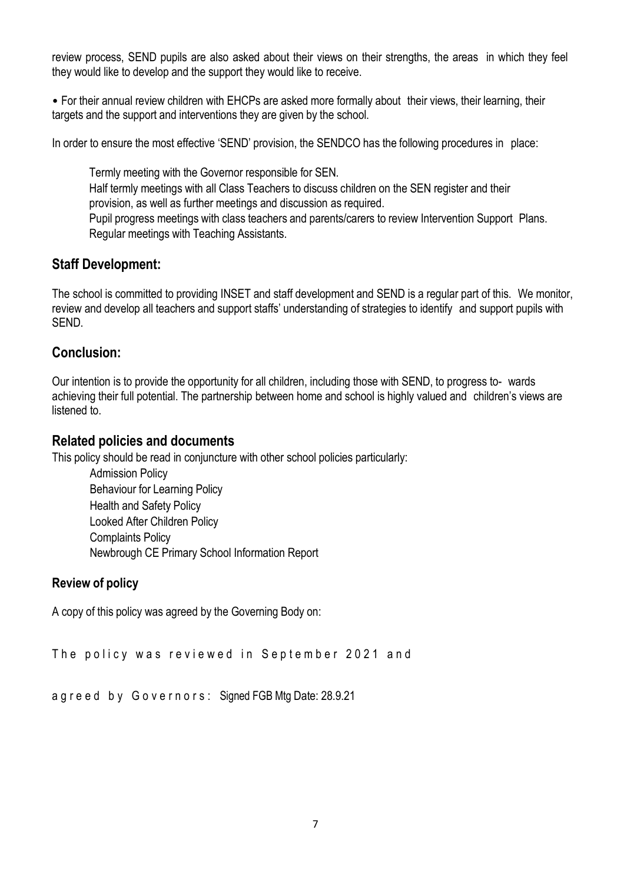review process, SEND pupils are also asked about their views on their strengths, the areas in which they feel they would like to develop and the support they would like to receive.

• For their annual review children with EHCPs are asked more formally about their views, their learning, their targets and the support and interventions they are given by the school.

In order to ensure the most effective 'SEND' provision, the SENDCO has the following procedures in place:

Termly meeting with the Governor responsible for SEN. Half termly meetings with all Class Teachers to discuss children on the SEN register and their provision, as well as further meetings and discussion as required. Pupil progress meetings with class teachers and parents/carers to review Intervention Support Plans. Regular meetings with Teaching Assistants.

#### **Staff Development:**

The school is committed to providing INSET and staff development and SEND is a regular part of this. We monitor, review and develop all teachers and support staffs' understanding of strategies to identify and support pupils with SEND.

#### **Conclusion:**

Our intention is to provide the opportunity for all children, including those with SEND, to progress to- wards achieving their full potential. The partnership between home and school is highly valued and children's views are listened to.

#### **Related policies and documents**

This policy should be read in conjuncture with other school policies particularly:

Admission Policy Behaviour for Learning Policy Health and Safety Policy Looked After Children Policy Complaints Policy Newbrough CE Primary School Information Report

#### **Review of policy**

A copy of this policy was agreed by the Governing Body on:

The policy was reviewed in September 2021 and

```
a g r e e d b y G o v e r n o r s : Signed FGB Mtg Date: 28.9.21
```